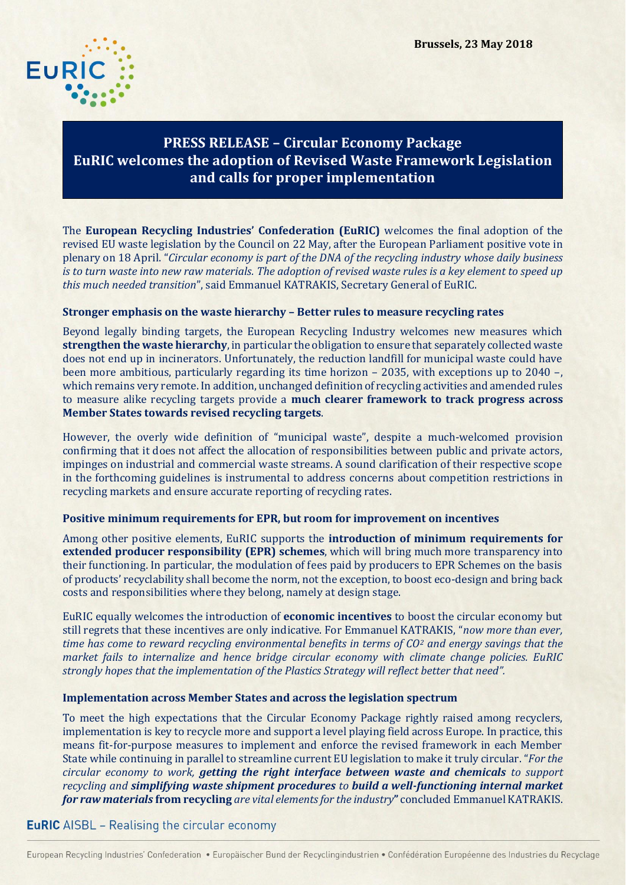

# **PRESS RELEASE – Circular Economy Package EuRIC welcomes the adoption of Revised Waste Framework Legislation and calls for proper implementation**

The **European Recycling Industries' Confederation (EuRIC)** welcomes the final adoption of the revised EU waste legislation by the Council on 22 May, after the European Parliament positive vote in plenary on 18 April. "*Circular economy is part of the DNA of the recycling industry whose daily business is to turn waste into new raw materials. The adoption of revised waste rules is a key element to speed up this much needed transition*", said Emmanuel KATRAKIS, Secretary General of EuRIC.

### **Stronger emphasis on the waste hierarchy – Better rules to measure recycling rates**

Beyond legally binding targets, the European Recycling Industry welcomes new measures which **strengthen the waste hierarchy**, in particular the obligation to ensure that separately collected waste does not end up in incinerators. Unfortunately, the reduction landfill for municipal waste could have been more ambitious, particularly regarding its time horizon – 2035, with exceptions up to 2040 –, which remains very remote. In addition, unchanged definition of recycling activities and amended rules to measure alike recycling targets provide a **much clearer framework to track progress across Member States towards revised recycling targets**.

However, the overly wide definition of "municipal waste", despite a much-welcomed provision confirming that it does not affect the allocation of responsibilities between public and private actors, impinges on industrial and commercial waste streams. A sound clarification of their respective scope in the forthcoming guidelines is instrumental to address concerns about competition restrictions in recycling markets and ensure accurate reporting of recycling rates.

#### **Positive minimum requirements for EPR, but room for improvement on incentives**

Among other positive elements, EuRIC supports the **introduction of minimum requirements for extended producer responsibility (EPR) schemes**, which will bring much more transparency into their functioning. In particular, the modulation of fees paid by producers to EPR Schemes on the basis of products' recyclability shall become the norm, not the exception, to boost eco-design and bring back costs and responsibilities where they belong, namely at design stage.

EuRIC equally welcomes the introduction of **economic incentives** to boost the circular economy but still regrets that these incentives are only indicative. For Emmanuel KATRAKIS, "*now more than ever, time has come to reward recycling environmental benefits in terms of CO<sup>2</sup> and energy savings that the market fails to internalize and hence bridge circular economy with climate change policies. EuRIC strongly hopes that the implementation of the Plastics Strategy will reflect better that need".*

#### **Implementation across Member States and across the legislation spectrum**

To meet the high expectations that the Circular Economy Package rightly raised among recyclers, implementation is key to recycle more and support a level playing field across Europe. In practice, this means fit-for-purpose measures to implement and enforce the revised framework in each Member State while continuing in parallel to streamline current EU legislation to make it truly circular. "*For the circular economy to work, getting the right interface between waste and chemicals to support recycling and simplifying waste shipment procedures to build a well-functioning internal market for raw materials* **from recycling** *are vital elements for the industry***"** concluded Emmanuel KATRAKIS.

## **EuRIC** AISBL - Realising the circular economy